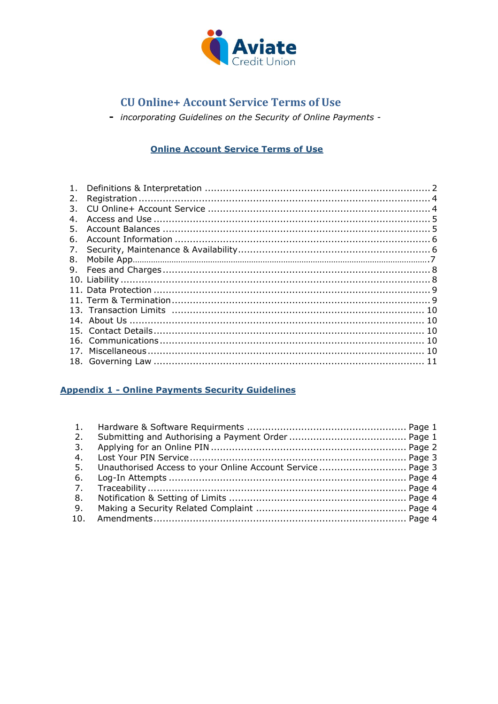

- incorporating Guidelines on the Security of Online Payments -

# **Online Account Service Terms of Use**

| 1. |  |
|----|--|
| 2. |  |
| 3. |  |
| 4. |  |
| 5. |  |
| 6. |  |
| 7. |  |
|    |  |
|    |  |
|    |  |
|    |  |
|    |  |
|    |  |
|    |  |
|    |  |
|    |  |
|    |  |
|    |  |

# **Appendix 1 - Online Payments Security Guidelines**

| 2. |  |
|----|--|
| 3. |  |
| 4. |  |
|    |  |
| 6. |  |
|    |  |
| 8. |  |
| 9. |  |
|    |  |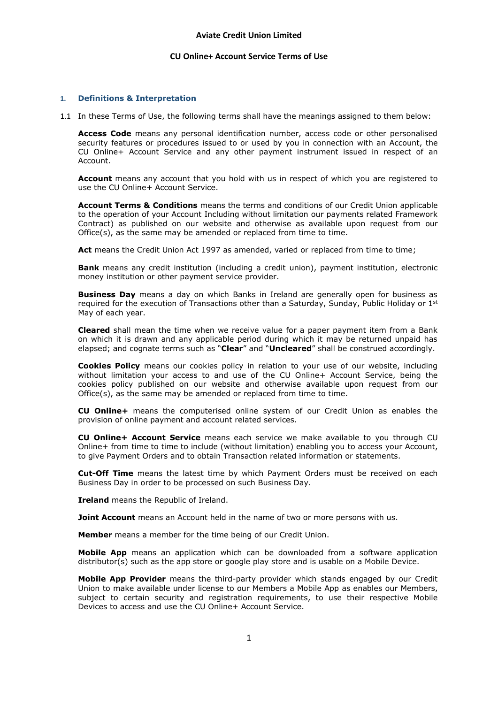#### **1. Definitions & Interpretation**

1.1 In these Terms of Use, the following terms shall have the meanings assigned to them below:

**Access Code** means any personal identification number, access code or other personalised security features or procedures issued to or used by you in connection with an Account, the CU Online+ Account Service and any other payment instrument issued in respect of an Account.

**Account** means any account that you hold with us in respect of which you are registered to use the CU Online+ Account Service.

**Account Terms & Conditions** means the terms and conditions of our Credit Union applicable to the operation of your Account Including without limitation our payments related Framework Contract) as published on our website and otherwise as available upon request from our Office(s), as the same may be amended or replaced from time to time.

Act means the Credit Union Act 1997 as amended, varied or replaced from time to time;

**Bank** means any credit institution (including a credit union), payment institution, electronic money institution or other payment service provider.

**Business Day** means a day on which Banks in Ireland are generally open for business as required for the execution of Transactions other than a Saturday, Sunday, Public Holiday or 1<sup>st</sup> May of each year.

**Cleared** shall mean the time when we receive value for a paper payment item from a Bank on which it is drawn and any applicable period during which it may be returned unpaid has elapsed; and cognate terms such as "**Clear**" and "**Uncleared**" shall be construed accordingly.

**Cookies Policy** means our cookies policy in relation to your use of our website, including without limitation your access to and use of the CU Online+ Account Service, being the cookies policy published on our website and otherwise available upon request from our  $O(fice(s))$ , as the same may be amended or replaced from time to time.

**CU Online+** means the computerised online system of our Credit Union as enables the provision of online payment and account related services.

**CU Online+ Account Service** means each service we make available to you through CU Online+ from time to time to include (without limitation) enabling you to access your Account, to give Payment Orders and to obtain Transaction related information or statements.

**Cut-Off Time** means the latest time by which Payment Orders must be received on each Business Day in order to be processed on such Business Day.

**Ireland** means the Republic of Ireland.

**Joint Account** means an Account held in the name of two or more persons with us.

**Member** means a member for the time being of our Credit Union.

**Mobile App** means an application which can be downloaded from a software application distributor(s) such as the app store or google play store and is usable on a Mobile Device.

**Mobile App Provider** means the third-party provider which stands engaged by our Credit Union to make available under license to our Members a Mobile App as enables our Members, subject to certain security and registration requirements, to use their respective Mobile Devices to access and use the CU Online+ Account Service.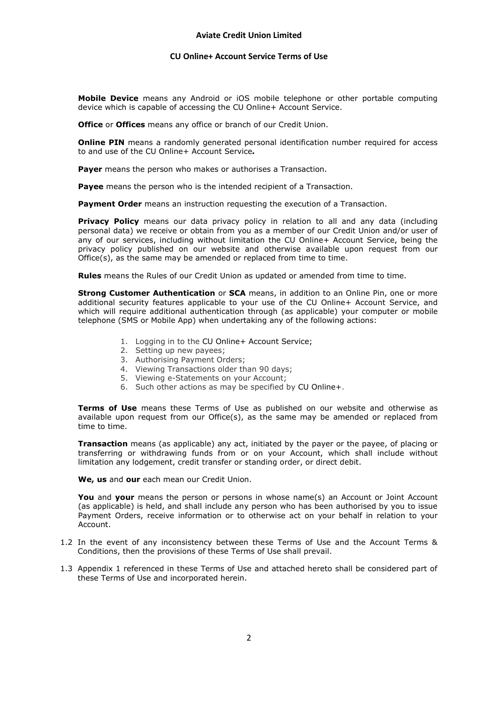# **Aviate Credit Union Limited**

### **CU Online+ Account Service Terms of Use**

**Mobile Device** means any Android or iOS mobile telephone or other portable computing device which is capable of accessing the CU Online+ Account Service.

**Office** or **Offices** means any office or branch of our Credit Union.

**Online PIN** means a randomly generated personal identification number required for access to and use of the CU Online+ Account Service*.*

**Payer** means the person who makes or authorises a Transaction.

**Payee** means the person who is the intended recipient of a Transaction.

**Payment Order** means an instruction requesting the execution of a Transaction.

**Privacy Policy** means our data privacy policy in relation to all and any data (including personal data) we receive or obtain from you as a member of our Credit Union and/or user of any of our services, including without limitation the CU Online+ Account Service, being the privacy policy published on our website and otherwise available upon request from our Office(s), as the same may be amended or replaced from time to time.

**Rules** means the Rules of our Credit Union as updated or amended from time to time.

**Strong Customer Authentication** or **SCA** means, in addition to an Online Pin, one or more additional security features applicable to your use of the CU Online+ Account Service, and which will require additional authentication through (as applicable) your computer or mobile telephone (SMS or Mobile App) when undertaking any of the following actions:

- 1. Logging in to the CU Online+ Account Service;
- 2. Setting up new payees;
- 3. Authorising Payment Orders;
- 4. Viewing Transactions older than 90 days;
- 5. Viewing e-Statements on your Account;
- 6. Such other actions as may be specified by CU Online+.

**Terms of Use** means these Terms of Use as published on our website and otherwise as available upon request from our Office(s), as the same may be amended or replaced from time to time.

**Transaction** means (as applicable) any act, initiated by the payer or the payee, of placing or transferring or withdrawing funds from or on your Account, which shall include without limitation any lodgement, credit transfer or standing order, or direct debit.

**We, us** and **our** each mean our Credit Union.

**You** and **your** means the person or persons in whose name(s) an Account or Joint Account (as applicable) is held, and shall include any person who has been authorised by you to issue Payment Orders, receive information or to otherwise act on your behalf in relation to your Account.

- 1.2 In the event of any inconsistency between these Terms of Use and the Account Terms & Conditions, then the provisions of these Terms of Use shall prevail.
- 1.3 Appendix 1 referenced in these Terms of Use and attached hereto shall be considered part of these Terms of Use and incorporated herein.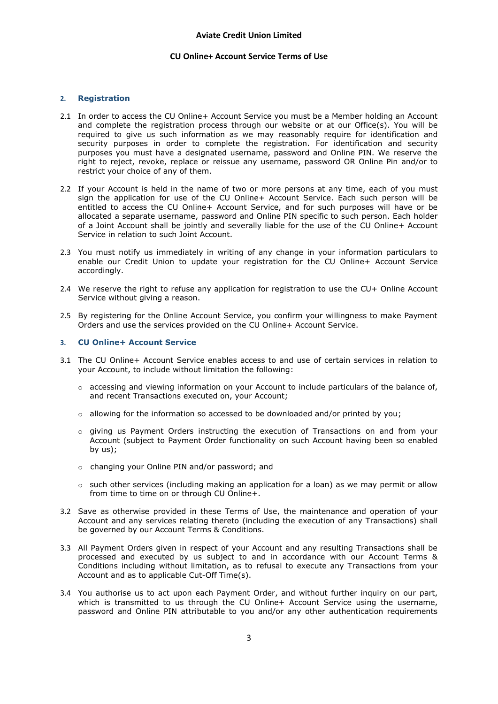### **2. Registration**

- 2.1 In order to access the CU Online+ Account Service you must be a Member holding an Account and complete the registration process through our website or at our Office(s). You will be required to give us such information as we may reasonably require for identification and security purposes in order to complete the registration. For identification and security purposes you must have a designated username, password and Online PIN. We reserve the right to reject, revoke, replace or reissue any username, password OR Online Pin and/or to restrict your choice of any of them.
- 2.2 If your Account is held in the name of two or more persons at any time, each of you must sign the application for use of the CU Online+ Account Service. Each such person will be entitled to access the CU Online+ Account Service, and for such purposes will have or be allocated a separate username, password and Online PIN specific to such person. Each holder of a Joint Account shall be jointly and severally liable for the use of the CU Online+ Account Service in relation to such Joint Account.
- 2.3 You must notify us immediately in writing of any change in your information particulars to enable our Credit Union to update your registration for the CU Online+ Account Service accordingly.
- 2.4 We reserve the right to refuse any application for registration to use the CU+ Online Account Service without giving a reason.
- 2.5 By registering for the Online Account Service, you confirm your willingness to make Payment Orders and use the services provided on the CU Online+ Account Service.

# **3. CU Online+ Account Service**

- 3.1 The CU Online+ Account Service enables access to and use of certain services in relation to your Account, to include without limitation the following:
	- $\circ$  accessing and viewing information on your Account to include particulars of the balance of, and recent Transactions executed on, your Account;
	- $\circ$  allowing for the information so accessed to be downloaded and/or printed by you;
	- o giving us Payment Orders instructing the execution of Transactions on and from your Account (subject to Payment Order functionality on such Account having been so enabled by us);
	- o changing your Online PIN and/or password; and
	- $\circ$  such other services (including making an application for a loan) as we may permit or allow from time to time on or through CU Online+.
- 3.2 Save as otherwise provided in these Terms of Use, the maintenance and operation of your Account and any services relating thereto (including the execution of any Transactions) shall be governed by our Account Terms & Conditions.
- 3.3 All Payment Orders given in respect of your Account and any resulting Transactions shall be processed and executed by us subject to and in accordance with our Account Terms & Conditions including without limitation, as to refusal to execute any Transactions from your Account and as to applicable Cut-Off Time(s).
- 3.4 You authorise us to act upon each Payment Order, and without further inquiry on our part, which is transmitted to us through the CU Online+ Account Service using the username, password and Online PIN attributable to you and/or any other authentication requirements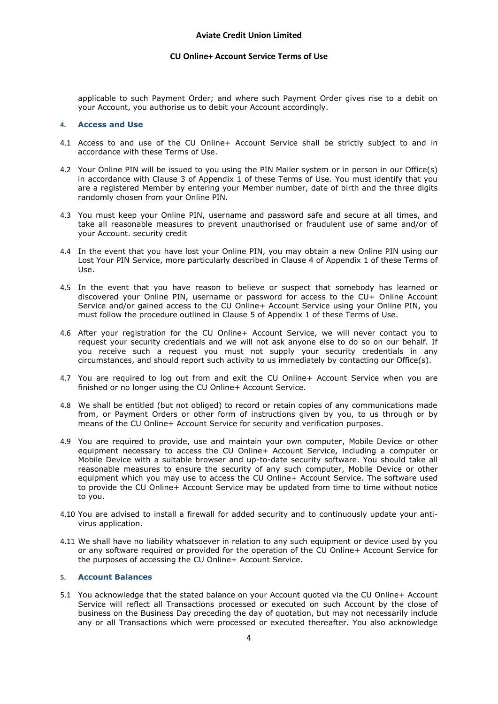applicable to such Payment Order; and where such Payment Order gives rise to a debit on your Account, you authorise us to debit your Account accordingly.

#### **4. Access and Use**

- 4.1 Access to and use of the CU Online+ Account Service shall be strictly subject to and in accordance with these Terms of Use.
- 4.2 Your Online PIN will be issued to you using the PIN Mailer system or in person in our Office(s) in accordance with Clause 3 of Appendix  $\overline{1}$  of these Terms of Use. You must identify that you are a registered Member by entering your Member number, date of birth and the three digits randomly chosen from your Online PIN.
- 4.3 You must keep your Online PIN, username and password safe and secure at all times, and take all reasonable measures to prevent unauthorised or fraudulent use of same and/or of your Account. security credit
- 4.4 In the event that you have lost your Online PIN, you may obtain a new Online PIN using our Lost Your PIN Service, more particularly described in Clause 4 of Appendix 1 of these Terms of Use.
- 4.5 In the event that you have reason to believe or suspect that somebody has learned or discovered your Online PIN, username or password for access to the CU+ Online Account Service and/or gained access to the CU Online+ Account Service using your Online PIN, you must follow the procedure outlined in Clause 5 of Appendix 1 of these Terms of Use.
- 4.6 After your registration for the CU Online+ Account Service, we will never contact you to request your security credentials and we will not ask anyone else to do so on our behalf. If you receive such a request you must not supply your security credentials in any circumstances, and should report such activity to us immediately by contacting our Office(s).
- 4.7 You are required to log out from and exit the CU Online+ Account Service when you are finished or no longer using the CU Online+ Account Service.
- 4.8 We shall be entitled (but not obliged) to record or retain copies of any communications made from, or Payment Orders or other form of instructions given by you, to us through or by means of the CU Online+ Account Service for security and verification purposes.
- 4.9 You are required to provide, use and maintain your own computer, Mobile Device or other equipment necessary to access the CU Online+ Account Service, including a computer or Mobile Device with a suitable browser and up-to-date security software. You should take all reasonable measures to ensure the security of any such computer, Mobile Device or other equipment which you may use to access the CU Online+ Account Service. The software used to provide the CU Online+ Account Service may be updated from time to time without notice to you.
- 4.10 You are advised to install a firewall for added security and to continuously update your antivirus application.
- 4.11 We shall have no liability whatsoever in relation to any such equipment or device used by you or any software required or provided for the operation of the CU Online+ Account Service for the purposes of accessing the CU Online+ Account Service.

#### **5. Account Balances**

5.1 You acknowledge that the stated balance on your Account quoted via the CU Online+ Account Service will reflect all Transactions processed or executed on such Account by the close of business on the Business Day preceding the day of quotation, but may not necessarily include any or all Transactions which were processed or executed thereafter. You also acknowledge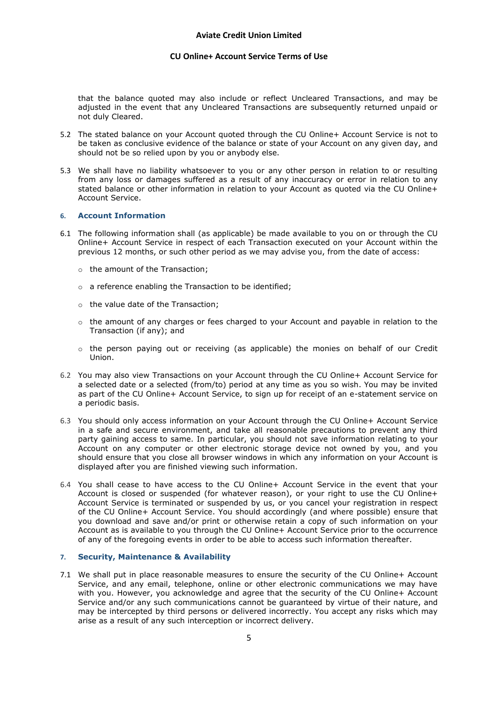that the balance quoted may also include or reflect Uncleared Transactions, and may be adjusted in the event that any Uncleared Transactions are subsequently returned unpaid or not duly Cleared.

- 5.2 The stated balance on your Account quoted through the CU Online+ Account Service is not to be taken as conclusive evidence of the balance or state of your Account on any given day, and should not be so relied upon by you or anybody else.
- 5.3 We shall have no liability whatsoever to you or any other person in relation to or resulting from any loss or damages suffered as a result of any inaccuracy or error in relation to any stated balance or other information in relation to your Account as quoted via the CU Online+ Account Service.

# **6. Account Information**

- 6.1 The following information shall (as applicable) be made available to you on or through the CU Online+ Account Service in respect of each Transaction executed on your Account within the previous 12 months, or such other period as we may advise you, from the date of access:
	- o the amount of the Transaction;
	- o a reference enabling the Transaction to be identified;
	- o the value date of the Transaction;
	- $\circ$  the amount of any charges or fees charged to your Account and payable in relation to the Transaction (if any); and
	- $\circ$  the person paying out or receiving (as applicable) the monies on behalf of our Credit Union.
- 6.2 You may also view Transactions on your Account through the CU Online+ Account Service for a selected date or a selected (from/to) period at any time as you so wish. You may be invited as part of the CU Online+ Account Service, to sign up for receipt of an e-statement service on a periodic basis.
- 6.3 You should only access information on your Account through the CU Online+ Account Service in a safe and secure environment, and take all reasonable precautions to prevent any third party gaining access to same. In particular, you should not save information relating to your Account on any computer or other electronic storage device not owned by you, and you should ensure that you close all browser windows in which any information on your Account is displayed after you are finished viewing such information.
- 6.4 You shall cease to have access to the CU Online+ Account Service in the event that your Account is closed or suspended (for whatever reason), or your right to use the CU Online+ Account Service is terminated or suspended by us, or you cancel your registration in respect of the CU Online+ Account Service. You should accordingly (and where possible) ensure that you download and save and/or print or otherwise retain a copy of such information on your Account as is available to you through the CU Online+ Account Service prior to the occurrence of any of the foregoing events in order to be able to access such information thereafter.

# **7. Security, Maintenance & Availability**

7.1 We shall put in place reasonable measures to ensure the security of the CU Online+ Account Service, and any email, telephone, online or other electronic communications we may have with you. However, you acknowledge and agree that the security of the CU Online+ Account Service and/or any such communications cannot be guaranteed by virtue of their nature, and may be intercepted by third persons or delivered incorrectly. You accept any risks which may arise as a result of any such interception or incorrect delivery.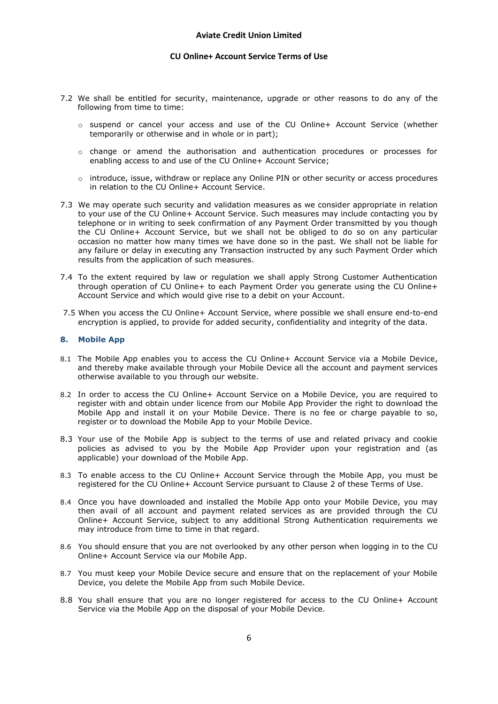- 7.2 We shall be entitled for security, maintenance, upgrade or other reasons to do any of the following from time to time:
	- o suspend or cancel your access and use of the CU Online+ Account Service (whether temporarily or otherwise and in whole or in part);
	- $\circ$  change or amend the authorisation and authentication procedures or processes for enabling access to and use of the CU Online+ Account Service;
	- $\circ$  introduce, issue, withdraw or replace any Online PIN or other security or access procedures in relation to the CU Online+ Account Service.
- 7.3 We may operate such security and validation measures as we consider appropriate in relation to your use of the CU Online+ Account Service. Such measures may include contacting you by telephone or in writing to seek confirmation of any Payment Order transmitted by you though the CU Online+ Account Service, but we shall not be obliged to do so on any particular occasion no matter how many times we have done so in the past. We shall not be liable for any failure or delay in executing any Transaction instructed by any such Payment Order which results from the application of such measures.
- 7.4 To the extent required by law or regulation we shall apply Strong Customer Authentication through operation of CU Online+ to each Payment Order you generate using the CU Online+ Account Service and which would give rise to a debit on your Account.
- 7.5 When you access the CU Online+ Account Service, where possible we shall ensure end-to-end encryption is applied, to provide for added security, confidentiality and integrity of the data.

#### **8. Mobile App**

- 8.1 The Mobile App enables you to access the CU Online+ Account Service via a Mobile Device, and thereby make available through your Mobile Device all the account and payment services otherwise available to you through our website.
- 8.2 In order to access the CU Online+ Account Service on a Mobile Device, you are required to register with and obtain under licence from our Mobile App Provider the right to download the Mobile App and install it on your Mobile Device. There is no fee or charge payable to so, register or to download the Mobile App to your Mobile Device.
- 8.3 Your use of the Mobile App is subject to the terms of use and related privacy and cookie policies as advised to you by the Mobile App Provider upon your registration and (as applicable) your download of the Mobile App.
- 8.3 To enable access to the CU Online+ Account Service through the Mobile App, you must be registered for the CU Online+ Account Service pursuant to Clause 2 of these Terms of Use.
- 8.4 Once you have downloaded and installed the Mobile App onto your Mobile Device, you may then avail of all account and payment related services as are provided through the CU Online+ Account Service, subject to any additional Strong Authentication requirements we may introduce from time to time in that regard.
- 8.6 You should ensure that you are not overlooked by any other person when logging in to the CU Online+ Account Service via our Mobile App.
- 8.7 You must keep your Mobile Device secure and ensure that on the replacement of your Mobile Device, you delete the Mobile App from such Mobile Device.
- 8.8 You shall ensure that you are no longer registered for access to the CU Online+ Account Service via the Mobile App on the disposal of your Mobile Device.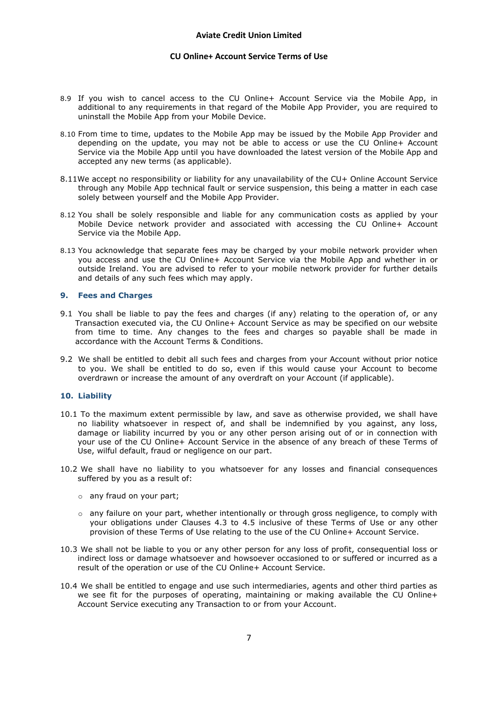- 8.9 If you wish to cancel access to the CU Online+ Account Service via the Mobile App, in additional to any requirements in that regard of the Mobile App Provider, you are required to uninstall the Mobile App from your Mobile Device.
- 8.10 From time to time, updates to the Mobile App may be issued by the Mobile App Provider and depending on the update, you may not be able to access or use the CU Online+ Account Service via the Mobile App until you have downloaded the latest version of the Mobile App and accepted any new terms (as applicable).
- 8.11We accept no responsibility or liability for any unavailability of the CU+ Online Account Service through any Mobile App technical fault or service suspension, this being a matter in each case solely between yourself and the Mobile App Provider.
- 8.12 You shall be solely responsible and liable for any communication costs as applied by your Mobile Device network provider and associated with accessing the CU Online+ Account Service via the Mobile App.
- 8.13 You acknowledge that separate fees may be charged by your mobile network provider when you access and use the CU Online+ Account Service via the Mobile App and whether in or outside Ireland. You are advised to refer to your mobile network provider for further details and details of any such fees which may apply.

# **9. Fees and Charges**

- 9.1 You shall be liable to pay the fees and charges (if any) relating to the operation of, or any Transaction executed via, the CU Online+ Account Service as may be specified on our website from time to time. Any changes to the fees and charges so payable shall be made in accordance with the Account Terms & Conditions.
- 9.2 We shall be entitled to debit all such fees and charges from your Account without prior notice to you. We shall be entitled to do so, even if this would cause your Account to become overdrawn or increase the amount of any overdraft on your Account (if applicable).

#### **10. Liability**

- 10.1 To the maximum extent permissible by law, and save as otherwise provided, we shall have no liability whatsoever in respect of, and shall be indemnified by you against, any loss, damage or liability incurred by you or any other person arising out of or in connection with your use of the CU Online+ Account Service in the absence of any breach of these Terms of Use, wilful default, fraud or negligence on our part.
- 10.2 We shall have no liability to you whatsoever for any losses and financial consequences suffered by you as a result of:
	- o any fraud on your part;
	- $\circ$  any failure on your part, whether intentionally or through gross negligence, to comply with your obligations under Clauses 4.3 to 4.5 inclusive of these Terms of Use or any other provision of these Terms of Use relating to the use of the CU Online+ Account Service.
- 10.3 We shall not be liable to you or any other person for any loss of profit, consequential loss or indirect loss or damage whatsoever and howsoever occasioned to or suffered or incurred as a result of the operation or use of the CU Online+ Account Service.
- 10.4 We shall be entitled to engage and use such intermediaries, agents and other third parties as we see fit for the purposes of operating, maintaining or making available the CU Online+ Account Service executing any Transaction to or from your Account.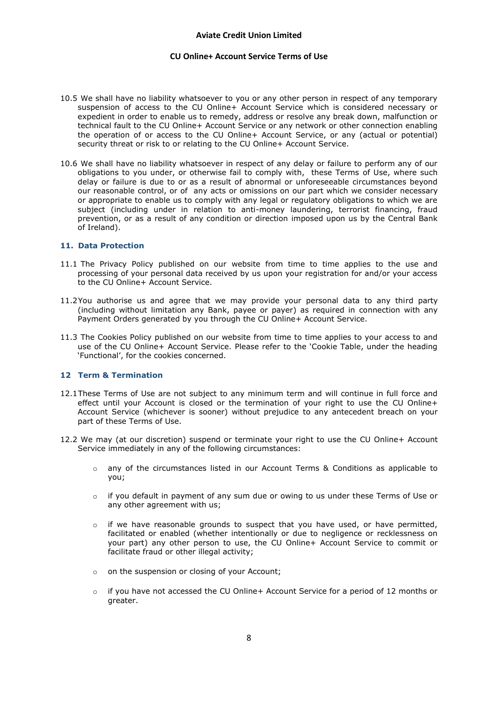- 10.5 We shall have no liability whatsoever to you or any other person in respect of any temporary suspension of access to the CU Online+ Account Service which is considered necessary or expedient in order to enable us to remedy, address or resolve any break down, malfunction or technical fault to the CU Online+ Account Service or any network or other connection enabling the operation of or access to the CU Online+ Account Service, or any (actual or potential) security threat or risk to or relating to the CU Online+ Account Service.
- 10.6 We shall have no liability whatsoever in respect of any delay or failure to perform any of our obligations to you under, or otherwise fail to comply with, these Terms of Use, where such delay or failure is due to or as a result of abnormal or unforeseeable circumstances beyond our reasonable control, or of any acts or omissions on our part which we consider necessary or appropriate to enable us to comply with any legal or regulatory obligations to which we are subject (including under in relation to anti-money laundering, terrorist financing, fraud prevention, or as a result of any condition or direction imposed upon us by the Central Bank of Ireland).

#### **11. Data Protection**

- 11.1 The Privacy Policy published on our website from time to time applies to the use and processing of your personal data received by us upon your registration for and/or your access to the CU Online+ Account Service.
- 11.2You authorise us and agree that we may provide your personal data to any third party (including without limitation any Bank, payee or payer) as required in connection with any Payment Orders generated by you through the CU Online+ Account Service.
- 11.3 The Cookies Policy published on our website from time to time applies to your access to and use of the CU Online+ Account Service. Please refer to the 'Cookie Table, under the heading 'Functional', for the cookies concerned.

#### **12 Term & Termination**

- 12.1These Terms of Use are not subject to any minimum term and will continue in full force and effect until your Account is closed or the termination of your right to use the CU Online+ Account Service (whichever is sooner) without prejudice to any antecedent breach on your part of these Terms of Use.
- 12.2 We may (at our discretion) suspend or terminate your right to use the CU Online+ Account Service immediately in any of the following circumstances:
	- $\circ$  any of the circumstances listed in our Account Terms & Conditions as applicable to you;
	- $\circ$  if you default in payment of any sum due or owing to us under these Terms of Use or any other agreement with us;
	- $\circ$  if we have reasonable grounds to suspect that you have used, or have permitted, facilitated or enabled (whether intentionally or due to negligence or recklessness on your part) any other person to use, the CU Online+ Account Service to commit or facilitate fraud or other illegal activity;
	- o on the suspension or closing of your Account;
	- o if you have not accessed the CU Online+ Account Service for a period of 12 months or greater.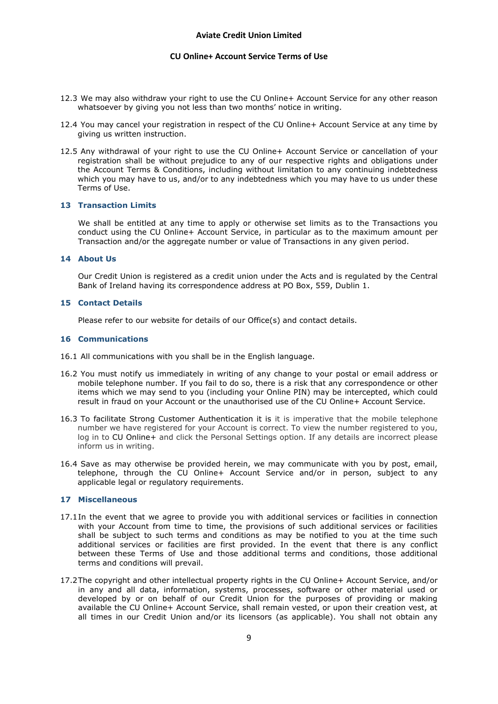- 12.3 We may also withdraw your right to use the CU Online+ Account Service for any other reason whatsoever by giving you not less than two months' notice in writing.
- 12.4 You may cancel your registration in respect of the CU Online+ Account Service at any time by giving us written instruction.
- 12.5 Any withdrawal of your right to use the CU Online+ Account Service or cancellation of your registration shall be without prejudice to any of our respective rights and obligations under the Account Terms & Conditions, including without limitation to any continuing indebtedness which you may have to us, and/or to any indebtedness which you may have to us under these Terms of Use.

# **13 Transaction Limits**

We shall be entitled at any time to apply or otherwise set limits as to the Transactions you conduct using the CU Online+ Account Service, in particular as to the maximum amount per Transaction and/or the aggregate number or value of Transactions in any given period.

#### **14 About Us**

Our Credit Union is registered as a credit union under the Acts and is regulated by the Central Bank of Ireland having its correspondence address at PO Box, 559, Dublin 1.

# **15 Contact Details**

Please refer to our website for details of our Office(s) and contact details.

#### **16 Communications**

- 16.1 All communications with you shall be in the English language.
- 16.2 You must notify us immediately in writing of any change to your postal or email address or mobile telephone number. If you fail to do so, there is a risk that any correspondence or other items which we may send to you (including your Online PIN) may be intercepted, which could result in fraud on your Account or the unauthorised use of the CU Online+ Account Service.
- 16.3 To facilitate Strong Customer Authentication it is it is imperative that the mobile telephone number we have registered for your Account is correct. To view the number registered to you, log in to CU Online+ and click the Personal Settings option. If any details are incorrect please inform us in writing.
- 16.4 Save as may otherwise be provided herein, we may communicate with you by post, email, telephone, through the CU Online+ Account Service and/or in person, subject to any applicable legal or regulatory requirements.

#### **17 Miscellaneous**

- 17.1In the event that we agree to provide you with additional services or facilities in connection with your Account from time to time, the provisions of such additional services or facilities shall be subject to such terms and conditions as may be notified to you at the time such additional services or facilities are first provided. In the event that there is any conflict between these Terms of Use and those additional terms and conditions, those additional terms and conditions will prevail.
- 17.2The copyright and other intellectual property rights in the CU Online+ Account Service, and/or in any and all data, information, systems, processes, software or other material used or developed by or on behalf of our Credit Union for the purposes of providing or making available the CU Online+ Account Service, shall remain vested, or upon their creation vest, at all times in our Credit Union and/or its licensors (as applicable). You shall not obtain any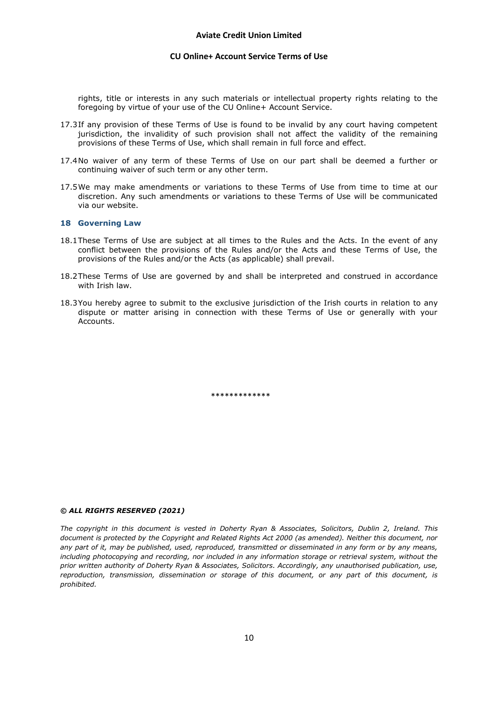rights, title or interests in any such materials or intellectual property rights relating to the foregoing by virtue of your use of the CU Online+ Account Service.

- 17.3If any provision of these Terms of Use is found to be invalid by any court having competent jurisdiction, the invalidity of such provision shall not affect the validity of the remaining provisions of these Terms of Use, which shall remain in full force and effect.
- 17.4No waiver of any term of these Terms of Use on our part shall be deemed a further or continuing waiver of such term or any other term.
- 17.5We may make amendments or variations to these Terms of Use from time to time at our discretion. Any such amendments or variations to these Terms of Use will be communicated via our website.

#### **18 Governing Law**

- 18.1These Terms of Use are subject at all times to the Rules and the Acts. In the event of any conflict between the provisions of the Rules and/or the Acts and these Terms of Use, the provisions of the Rules and/or the Acts (as applicable) shall prevail.
- 18.2These Terms of Use are governed by and shall be interpreted and construed in accordance with Irish law.
- 18.3You hereby agree to submit to the exclusive jurisdiction of the Irish courts in relation to any dispute or matter arising in connection with these Terms of Use or generally with your Accounts.

\*\*\*\*\*\*\*\*\*\*\*\*

#### *© ALL RIGHTS RESERVED (2021)*

*The copyright in this document is vested in Doherty Ryan & Associates, Solicitors, Dublin 2, Ireland. This document is protected by the Copyright and Related Rights Act 2000 (as amended). Neither this document, nor any part of it, may be published, used, reproduced, transmitted or disseminated in any form or by any means, including photocopying and recording, nor included in any information storage or retrieval system, without the prior written authority of Doherty Ryan & Associates, Solicitors. Accordingly, any unauthorised publication, use, reproduction, transmission, dissemination or storage of this document, or any part of this document, is prohibited.*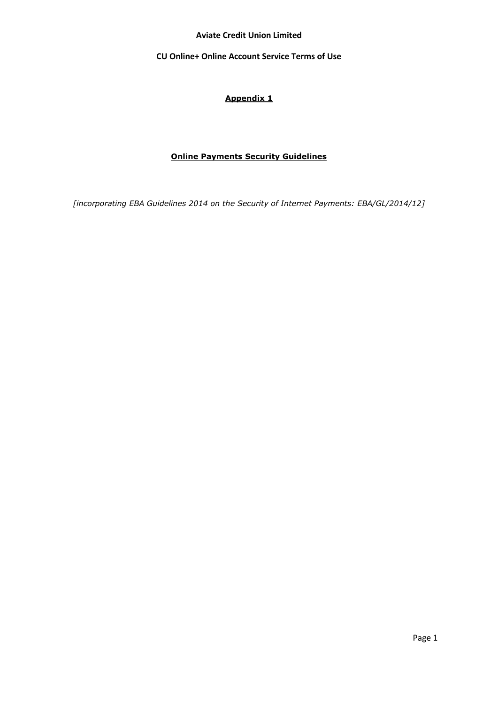**Aviate Credit Union Limited**

**CU Online+ Online Account Service Terms of Use** 

# **Appendix 1**

# **Online Payments Security Guidelines**

*[incorporating EBA Guidelines 2014 on the Security of Internet Payments: EBA/GL/2014/12]*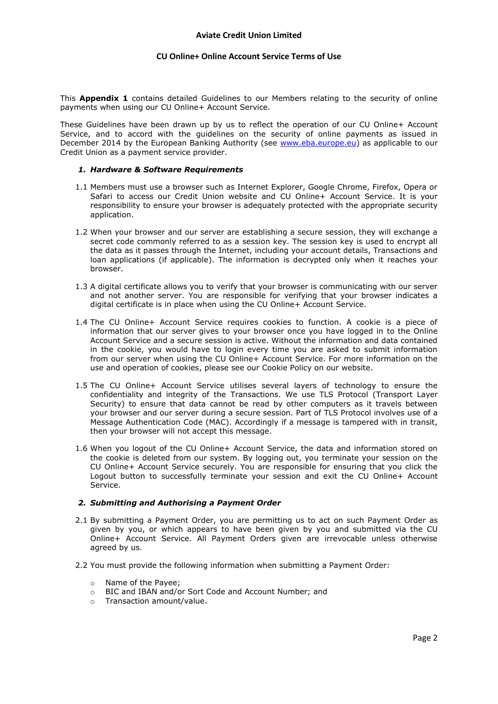This **Appendix 1** contains detailed Guidelines to our Members relating to the security of online payments when using our CU Online+ Account Service.

These Guidelines have been drawn up by us to reflect the operation of our CU Online+ Account Service, and to accord with the guidelines on the security of online payments as issued in December 2014 by the European Banking Authority (see [www.eba.europe.eu\)](http://www.eba.europe.eu/) as applicable to our Credit Union as a payment service provider.

### *1. Hardware & Software Requirements*

- 1.1 Members must use a browser such as Internet Explorer, Google Chrome, Firefox, Opera or Safari to access our Credit Union website and CU Online+ Account Service. It is your responsibility to ensure your browser is adequately protected with the appropriate security application.
- 1.2 When your browser and our server are establishing a secure session, they will exchange a secret code commonly referred to as a session key. The session key is used to encrypt all the data as it passes through the Internet, including your account details, Transactions and loan applications (if applicable). The information is decrypted only when it reaches your browser.
- 1.3 A digital certificate allows you to verify that your browser is communicating with our server and not another server. You are responsible for verifying that your browser indicates a digital certificate is in place when using the CU Online+ Account Service.
- 1.4 The CU Online+ Account Service requires cookies to function. A cookie is a piece of information that our server gives to your browser once you have logged in to the Online Account Service and a secure session is active. Without the information and data contained in the cookie, you would have to login every time you are asked to submit information from our server when using the CU Online+ Account Service. For more information on the use and operation of cookies, please see our Cookie Policy on our website.
- 1.5 The CU Online+ Account Service utilises several layers of technology to ensure the confidentiality and integrity of the Transactions. We use TLS Protocol (Transport Layer Security) to ensure that data cannot be read by other computers as it travels between your browser and our server during a secure session. Part of TLS Protocol involves use of a Message Authentication Code (MAC). Accordingly if a message is tampered with in transit, then your browser will not accept this message.
- 1.6 When you logout of the CU Online+ Account Service, the data and information stored on the cookie is deleted from our system. By logging out, you terminate your session on the CU Online+ Account Service securely. You are responsible for ensuring that you click the Logout button to successfully terminate your session and exit the CU Online+ Account Service.

# *2. Submitting and Authorising a Payment Order*

- 2.1 By submitting a Payment Order, you are permitting us to act on such Payment Order as given by you, or which appears to have been given by you and submitted via the CU Online+ Account Service. All Payment Orders given are irrevocable unless otherwise agreed by us.
- 2.2 You must provide the following information when submitting a Payment Order:
	- o Name of the Payee;
	- o BIC and IBAN and/or Sort Code and Account Number; and
	- o Transaction amount/value.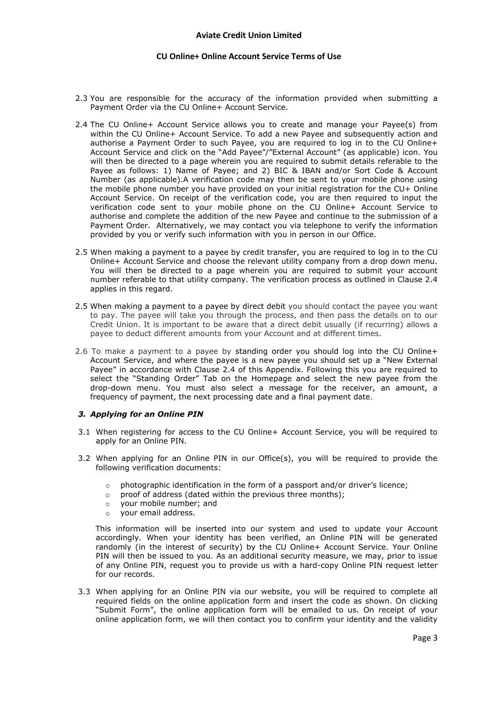- 2.3 You are responsible for the accuracy of the information provided when submitting a Payment Order via the CU Online+ Account Service.
- 2.4 The CU Online+ Account Service allows you to create and manage your Payee(s) from within the CU Online+ Account Service. To add a new Payee and subsequently action and authorise a Payment Order to such Payee, you are required to log in to the CU Online+ Account Service and click on the "Add Payee"/"External Account" (as applicable) icon. You will then be directed to a page wherein you are required to submit details referable to the Payee as follows: 1) Name of Payee; and 2) BIC & IBAN and/or Sort Code & Account Number (as applicable).A verification code may then be sent to your mobile phone using the mobile phone number you have provided on your initial registration for the CU+ Online Account Service. On receipt of the verification code, you are then required to input the verification code sent to your mobile phone on the CU Online+ Account Service to authorise and complete the addition of the new Payee and continue to the submission of a Payment Order. Alternatively, we may contact you via telephone to verify the information provided by you or verify such information with you in person in our Office.
- 2.5 When making a payment to a payee by credit transfer, you are required to log in to the CU Online+ Account Service and choose the relevant utility company from a drop down menu. You will then be directed to a page wherein you are required to submit your account number referable to that utility company. The verification process as outlined in Clause 2.4 applies in this regard.
- 2.5 When making a payment to a payee by direct debit you should contact the payee you want to pay. The payee will take you through the process, and then pass the details on to our Credit Union. It is important to be aware that a direct debit usually (if recurring) allows a payee to deduct different amounts from your Account and at different times.
- 2.6 To make a payment to a payee by standing order you should log into the CU Online+ Account Service, and where the payee is a new payee you should set up a "New External Payee" in accordance with Clause 2.4 of this Appendix. Following this you are required to select the "Standing Order" Tab on the Homepage and select the new payee from the drop-down menu. You must also select a message for the receiver, an amount, a frequency of payment, the next processing date and a final payment date.

# *3. Applying for an Online PIN*

- 3.1 When registering for access to the CU Online+ Account Service, you will be required to apply for an Online PIN.
- 3.2 When applying for an Online PIN in our Office(s), you will be required to provide the following verification documents:
	- $\circ$  photographic identification in the form of a passport and/or driver's licence;
	- o proof of address (dated within the previous three months);
	- o your mobile number; and
	- o your email address.

 This information will be inserted into our system and used to update your Account accordingly. When your identity has been verified, an Online PIN will be generated randomly (in the interest of security) by the CU Online+ Account Service. Your Online PIN will then be issued to you. As an additional security measure, we may, prior to issue of any Online PIN, request you to provide us with a hard-copy Online PIN request letter for our records.

3.3 When applying for an Online PIN via our website, you will be required to complete all required fields on the online application form and insert the code as shown. On clicking "Submit Form", the online application form will be emailed to us. On receipt of your online application form, we will then contact you to confirm your identity and the validity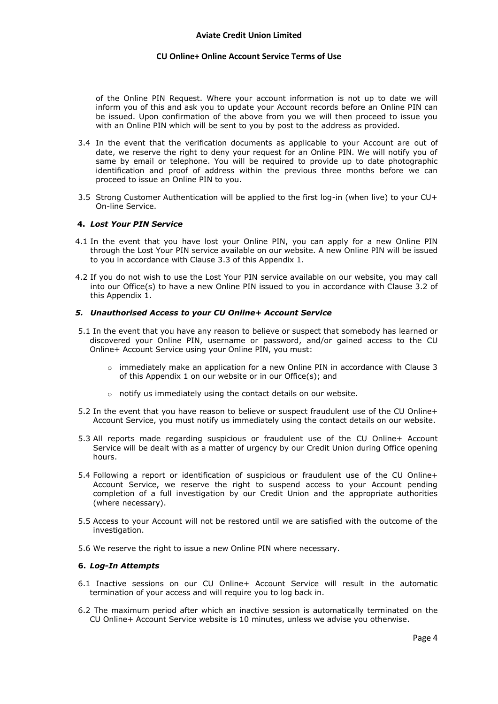of the Online PIN Request. Where your account information is not up to date we will inform you of this and ask you to update your Account records before an Online PIN can be issued. Upon confirmation of the above from you we will then proceed to issue you with an Online PIN which will be sent to you by post to the address as provided.

- 3.4 In the event that the verification documents as applicable to your Account are out of date, we reserve the right to deny your request for an Online PIN. We will notify you of same by email or telephone. You will be required to provide up to date photographic identification and proof of address within the previous three months before we can proceed to issue an Online PIN to you.
- 3.5 Strong Customer Authentication will be applied to the first log-in (when live) to your CU+ On-line Service.

# **4.** *Lost Your PIN Service*

- 4.1 In the event that you have lost your Online PIN, you can apply for a new Online PIN through the Lost Your PIN service available on our website. A new Online PIN will be issued to you in accordance with Clause 3.3 of this Appendix 1.
- 4.2 If you do not wish to use the Lost Your PIN service available on our website, you may call into our Office(s) to have a new Online PIN issued to you in accordance with Clause 3.2 of this Appendix 1.

# *5. Unauthorised Access to your CU Online+ Account Service*

- 5.1 In the event that you have any reason to believe or suspect that somebody has learned or discovered your Online PIN, username or password, and/or gained access to the CU Online+ Account Service using your Online PIN, you must:
	- $\circ$  immediately make an application for a new Online PIN in accordance with Clause 3 of this Appendix 1 on our website or in our Office(s); and
	- o notify us immediately using the contact details on our website.
- 5.2 In the event that you have reason to believe or suspect fraudulent use of the CU Online+ Account Service, you must notify us immediately using the contact details on our website.
- 5.3 All reports made regarding suspicious or fraudulent use of the CU Online+ Account Service will be dealt with as a matter of urgency by our Credit Union during Office opening hours.
- 5.4 Following a report or identification of suspicious or fraudulent use of the CU Online+ Account Service, we reserve the right to suspend access to your Account pending completion of a full investigation by our Credit Union and the appropriate authorities (where necessary).
- 5.5 Access to your Account will not be restored until we are satisfied with the outcome of the investigation.
- 5.6 We reserve the right to issue a new Online PIN where necessary.

#### **6.** *Log-In Attempts*

- 6.1 Inactive sessions on our CU Online+ Account Service will result in the automatic termination of your access and will require you to log back in.
- 6.2 The maximum period after which an inactive session is automatically terminated on the CU Online+ Account Service website is 10 minutes, unless we advise you otherwise.